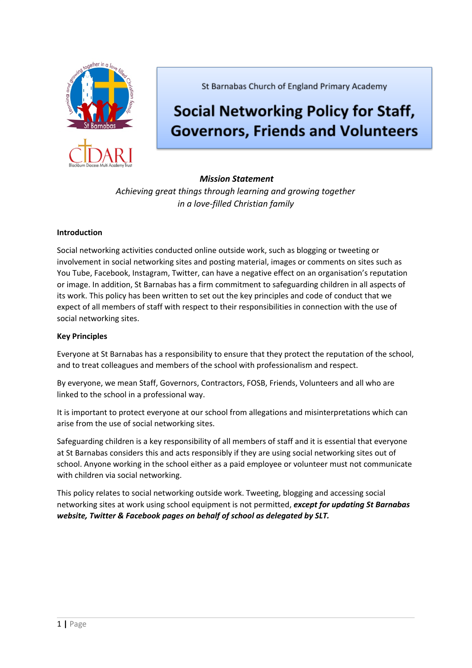

St Barnabas Church of England Primary Academy

# **Social Networking Policy for Staff, Governors, Friends and Volunteers**

# *Mission Statement*

*Achieving great things through learning and growing together in a love-filled Christian family*

## **Introduction**

Social networking activities conducted online outside work, such as blogging or tweeting or involvement in social networking sites and posting material, images or comments on sites such as You Tube, Facebook, Instagram, Twitter, can have a negative effect on an organisation's reputation or image. In addition, St Barnabas has a firm commitment to safeguarding children in all aspects of its work. This policy has been written to set out the key principles and code of conduct that we expect of all members of staff with respect to their responsibilities in connection with the use of social networking sites.

### **Key Principles**

Everyone at St Barnabas has a responsibility to ensure that they protect the reputation of the school, and to treat colleagues and members of the school with professionalism and respect.

By everyone, we mean Staff, Governors, Contractors, FOSB, Friends, Volunteers and all who are linked to the school in a professional way.

It is important to protect everyone at our school from allegations and misinterpretations which can arise from the use of social networking sites.

Safeguarding children is a key responsibility of all members of staff and it is essential that everyone at St Barnabas considers this and acts responsibly if they are using social networking sites out of school. Anyone working in the school either as a paid employee or volunteer must not communicate with children via social networking.

This policy relates to social networking outside work. Tweeting, blogging and accessing social networking sites at work using school equipment is not permitted, *except for updating St Barnabas website, Twitter & Facebook pages on behalf of school as delegated by SLT.*